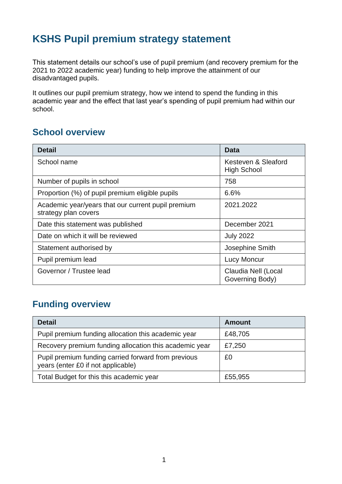# **KSHS Pupil premium strategy statement**

This statement details our school's use of pupil premium (and recovery premium for the 2021 to 2022 academic year) funding to help improve the attainment of our disadvantaged pupils.

It outlines our pupil premium strategy, how we intend to spend the funding in this academic year and the effect that last year's spending of pupil premium had within our school.

#### **School overview**

| <b>Detail</b>                                                              | Data                                      |
|----------------------------------------------------------------------------|-------------------------------------------|
| School name                                                                | Kesteven & Sleaford<br><b>High School</b> |
| Number of pupils in school                                                 | 758                                       |
| Proportion (%) of pupil premium eligible pupils                            | 6.6%                                      |
| Academic year/years that our current pupil premium<br>strategy plan covers | 2021.2022                                 |
| Date this statement was published                                          | December 2021                             |
| Date on which it will be reviewed                                          | <b>July 2022</b>                          |
| Statement authorised by                                                    | Josephine Smith                           |
| Pupil premium lead                                                         | <b>Lucy Moncur</b>                        |
| Governor / Trustee lead                                                    | Claudia Nell (Local<br>Governing Body)    |

## **Funding overview**

| <b>Detail</b>                                                                             | <b>Amount</b> |
|-------------------------------------------------------------------------------------------|---------------|
| Pupil premium funding allocation this academic year                                       | £48,705       |
| Recovery premium funding allocation this academic year                                    | £7,250        |
| Pupil premium funding carried forward from previous<br>years (enter £0 if not applicable) | £0            |
| Total Budget for this this academic year                                                  | £55,955       |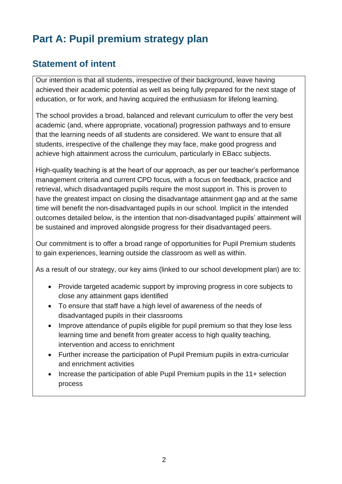# **Part A: Pupil premium strategy plan**

### **Statement of intent**

Our intention is that all students, irrespective of their background, leave having achieved their academic potential as well as being fully prepared for the next stage of education, or for work, and having acquired the enthusiasm for lifelong learning.

The school provides a broad, balanced and relevant curriculum to offer the very best academic (and, where appropriate, vocational) progression pathways and to ensure that the learning needs of all students are considered. We want to ensure that all students, irrespective of the challenge they may face, make good progress and achieve high attainment across the curriculum, particularly in EBacc subjects.

High-quality teaching is at the heart of our approach, as per our teacher's performance management criteria and current CPD focus, with a focus on feedback, practice and retrieval, which disadvantaged pupils require the most support in. This is proven to have the greatest impact on closing the disadvantage attainment gap and at the same time will benefit the non-disadvantaged pupils in our school. Implicit in the intended outcomes detailed below, is the intention that non-disadvantaged pupils' attainment will be sustained and improved alongside progress for their disadvantaged peers.

Our commitment is to offer a broad range of opportunities for Pupil Premium students to gain experiences, learning outside the classroom as well as within.

As a result of our strategy, our key aims (linked to our school development plan) are to:

- Provide targeted academic support by improving progress in core subjects to close any attainment gaps identified
- To ensure that staff have a high level of awareness of the needs of disadvantaged pupils in their classrooms
- Improve attendance of pupils eligible for pupil premium so that they lose less learning time and benefit from greater access to high quality teaching, intervention and access to enrichment
- Further increase the participation of Pupil Premium pupils in extra-curricular and enrichment activities
- Increase the participation of able Pupil Premium pupils in the 11+ selection process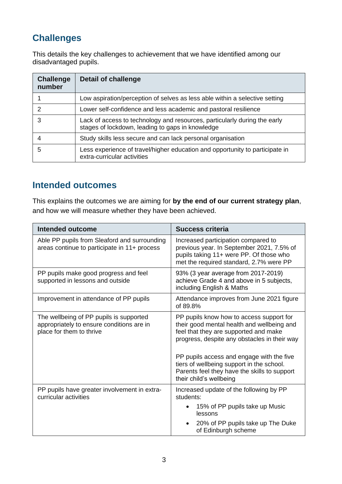# **Challenges**

This details the key challenges to achievement that we have identified among our disadvantaged pupils.

| <b>Challenge</b><br>number | <b>Detail of challenge</b>                                                                                                    |
|----------------------------|-------------------------------------------------------------------------------------------------------------------------------|
|                            | Low aspiration/perception of selves as less able within a selective setting                                                   |
| $\mathcal{P}$              | Lower self-confidence and less academic and pastoral resilience                                                               |
| 3                          | Lack of access to technology and resources, particularly during the early<br>stages of lockdown, leading to gaps in knowledge |
|                            | Study skills less secure and can lack personal organisation                                                                   |
| 5                          | Less experience of travel/higher education and opportunity to participate in<br>extra-curricular activities                   |

#### **Intended outcomes**

This explains the outcomes we are aiming for **by the end of our current strategy plan**, and how we will measure whether they have been achieved.

| <b>Intended outcome</b>                                                                                          | <b>Success criteria</b>                                                                                                                                                                                                                                                                                                   |
|------------------------------------------------------------------------------------------------------------------|---------------------------------------------------------------------------------------------------------------------------------------------------------------------------------------------------------------------------------------------------------------------------------------------------------------------------|
| Able PP pupils from Sleaford and surrounding<br>areas continue to participate in 11+ process                     | Increased participation compared to<br>previous year. In September 2021, 7.5% of<br>pupils taking 11+ were PP. Of those who<br>met the required standard, 2.7% were PP                                                                                                                                                    |
| PP pupils make good progress and feel<br>supported in lessons and outside                                        | 93% (3 year average from 2017-2019)<br>achieve Grade 4 and above in 5 subjects,<br>including English & Maths                                                                                                                                                                                                              |
| Improvement in attendance of PP pupils                                                                           | Attendance improves from June 2021 figure<br>of 89.8%                                                                                                                                                                                                                                                                     |
| The wellbeing of PP pupils is supported<br>appropriately to ensure conditions are in<br>place for them to thrive | PP pupils know how to access support for<br>their good mental health and wellbeing and<br>feel that they are supported and make<br>progress, despite any obstacles in their way<br>PP pupils access and engage with the five<br>tiers of wellbeing support in the school.<br>Parents feel they have the skills to support |
|                                                                                                                  | their child's wellbeing                                                                                                                                                                                                                                                                                                   |
| PP pupils have greater involvement in extra-<br>curricular activities                                            | Increased update of the following by PP<br>students:<br>15% of PP pupils take up Music                                                                                                                                                                                                                                    |
|                                                                                                                  | lessons                                                                                                                                                                                                                                                                                                                   |
|                                                                                                                  | 20% of PP pupils take up The Duke<br>of Edinburgh scheme                                                                                                                                                                                                                                                                  |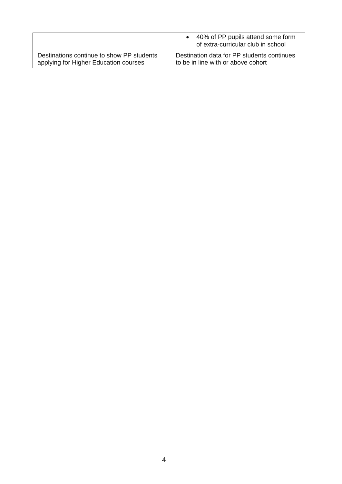|                                           | 40% of PP pupils attend some form<br>of extra-curricular club in school |
|-------------------------------------------|-------------------------------------------------------------------------|
| Destinations continue to show PP students | Destination data for PP students continues                              |
| applying for Higher Education courses     | to be in line with or above cohort                                      |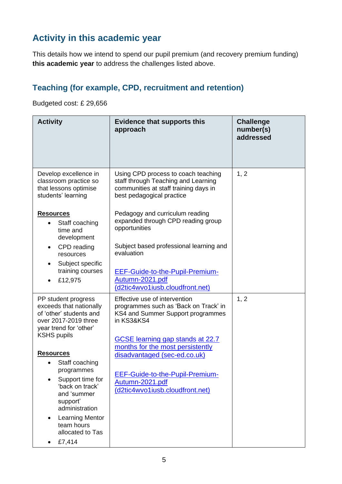# **Activity in this academic year**

This details how we intend to spend our pupil premium (and recovery premium funding) **this academic year** to address the challenges listed above.

#### **Teaching (for example, CPD, recruitment and retention)**

Budgeted cost: £ 29,656

| <b>Activity</b>                                                                                                             | <b>Evidence that supports this</b><br>approach                                                                                                   | <b>Challenge</b><br>number(s)<br>addressed |
|-----------------------------------------------------------------------------------------------------------------------------|--------------------------------------------------------------------------------------------------------------------------------------------------|--------------------------------------------|
| Develop excellence in<br>classroom practice so<br>that lessons optimise<br>students' learning                               | Using CPD process to coach teaching<br>staff through Teaching and Learning<br>communities at staff training days in<br>best pedagogical practice | 1, 2                                       |
| <b>Resources</b><br>Staff coaching<br>$\bullet$<br>time and<br>development                                                  | Pedagogy and curriculum reading<br>expanded through CPD reading group<br>opportunities                                                           |                                            |
| CPD reading<br>$\bullet$<br>resources                                                                                       | Subject based professional learning and<br>evaluation                                                                                            |                                            |
| Subject specific<br>training courses<br>£12,975                                                                             | <b>EEF-Guide-to-the-Pupil-Premium-</b><br>Autumn-2021.pdf<br>(d2tic4wvo1iusb.cloudfront.net)                                                     |                                            |
| PP student progress<br>exceeds that nationally<br>of 'other' students and<br>over 2017-2019 three<br>year trend for 'other' | Effective use of intervention<br>programmes such as 'Back on Track' in<br>KS4 and Summer Support programmes<br>in KS3&KS4                        | 1, 2                                       |
| <b>KSHS pupils</b>                                                                                                          | GCSE learning gap stands at 22.7<br>months for the most persistently                                                                             |                                            |
| <b>Resources</b><br>Staff coaching                                                                                          | disadvantaged (sec-ed.co.uk)                                                                                                                     |                                            |
| programmes<br>Support time for<br>'back on track'<br>and 'summer<br>support'<br>administration                              | EEF-Guide-to-the-Pupil-Premium-<br>Autumn-2021.pdf<br>(d2tic4wvo1iusb.cloudfront.net)                                                            |                                            |
| <b>Learning Mentor</b><br>team hours<br>allocated to Tas                                                                    |                                                                                                                                                  |                                            |
| £7,414<br>$\bullet$                                                                                                         |                                                                                                                                                  |                                            |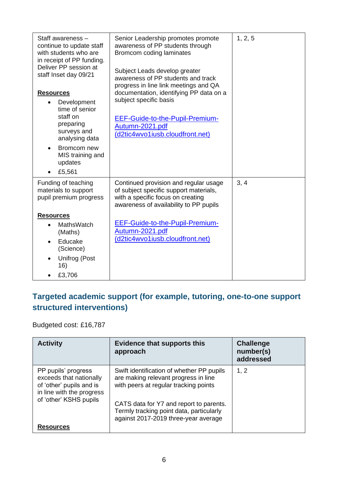| Staff awareness -<br>continue to update staff<br>with students who are<br>in receipt of PP funding.<br>Deliver PP session at<br>staff Inset day 09/21<br><b>Resources</b><br>Development<br>$\bullet$<br>time of senior<br>staff on<br>preparing<br>surveys and<br>analysing data<br>Bromcom new<br>MIS training and<br>updates | Senior Leadership promotes promote<br>awareness of PP students through<br>Bromcom coding laminates<br>Subject Leads develop greater<br>awareness of PP students and track<br>progress in line link meetings and QA<br>documentation, identifying PP data on a<br>subject specific basis<br>EEF-Guide-to-the-Pupil-Premium-<br>Autumn-2021.pdf<br>(d2tic4wvo1iusb.cloudfront.net) | 1, 2, 5 |
|---------------------------------------------------------------------------------------------------------------------------------------------------------------------------------------------------------------------------------------------------------------------------------------------------------------------------------|----------------------------------------------------------------------------------------------------------------------------------------------------------------------------------------------------------------------------------------------------------------------------------------------------------------------------------------------------------------------------------|---------|
| £5,561<br>$\bullet$                                                                                                                                                                                                                                                                                                             |                                                                                                                                                                                                                                                                                                                                                                                  |         |
| Funding of teaching<br>materials to support<br>pupil premium progress                                                                                                                                                                                                                                                           | Continued provision and regular usage<br>of subject specific support materials,<br>with a specific focus on creating<br>awareness of availability to PP pupils                                                                                                                                                                                                                   | 3, 4    |
| <b>Resources</b>                                                                                                                                                                                                                                                                                                                |                                                                                                                                                                                                                                                                                                                                                                                  |         |
| MathsWatch<br>(Maths)<br>Educake<br>(Science)                                                                                                                                                                                                                                                                                   | <b>EEF-Guide-to-the-Pupil-Premium-</b><br>Autumn-2021.pdf<br>(d2tic4wvo1iusb.cloudfront.net)                                                                                                                                                                                                                                                                                     |         |
| Unifrog (Post<br>16)                                                                                                                                                                                                                                                                                                            |                                                                                                                                                                                                                                                                                                                                                                                  |         |
| £3,706                                                                                                                                                                                                                                                                                                                          |                                                                                                                                                                                                                                                                                                                                                                                  |         |

### **Targeted academic support (for example, tutoring, one-to-one support structured interventions)**

Budgeted cost: £16,787

| <b>Activity</b>                                                                                                                   | <b>Evidence that supports this</b><br>approach                                                                                                                                                                                                            | <b>Challenge</b><br>number(s)<br>addressed |
|-----------------------------------------------------------------------------------------------------------------------------------|-----------------------------------------------------------------------------------------------------------------------------------------------------------------------------------------------------------------------------------------------------------|--------------------------------------------|
| PP pupils' progress<br>exceeds that nationally<br>of 'other' pupils and is<br>in line with the progress<br>of 'other' KSHS pupils | Swift identification of whether PP pupils<br>are making relevant progress in line<br>with peers at regular tracking points<br>CATS data for Y7 and report to parents.<br>Termly tracking point data, particularly<br>against 2017-2019 three-year average | 1, 2                                       |
| <b>Resources</b>                                                                                                                  |                                                                                                                                                                                                                                                           |                                            |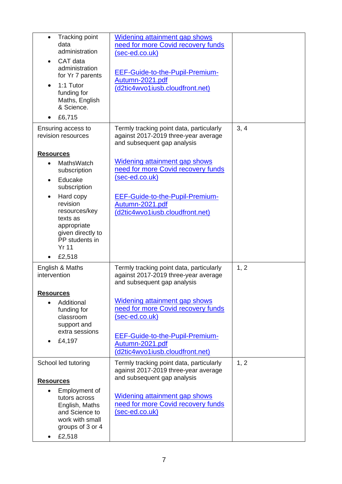| <b>Tracking point</b><br>data<br>administration<br>CAT data<br>administration<br>for Yr 7 parents<br>1:1 Tutor<br>funding for<br>Maths, English<br>& Science.<br>£6,715                                                             | <b>Widening attainment gap shows</b><br>need for more Covid recovery funds<br>(sec-ed.co.uk)<br>EEF-Guide-to-the-Pupil-Premium-<br>Autumn-2021.pdf<br>(d2tic4wvo1iusb.cloudfront.net)                           |      |
|-------------------------------------------------------------------------------------------------------------------------------------------------------------------------------------------------------------------------------------|-----------------------------------------------------------------------------------------------------------------------------------------------------------------------------------------------------------------|------|
| Ensuring access to<br>revision resources                                                                                                                                                                                            | Termly tracking point data, particularly<br>against 2017-2019 three-year average<br>and subsequent gap analysis                                                                                                 | 3, 4 |
| <b>Resources</b><br><b>MathsWatch</b><br>subscription<br>Educake<br>subscription<br>Hard copy<br>revision<br>resources/key<br>texts as<br>appropriate<br>given directly to<br>PP students in<br><b>Yr 11</b><br>£2,518<br>$\bullet$ | Widening attainment gap shows<br>need for more Covid recovery funds<br>(sec-ed.co.uk)<br><b>EEF-Guide-to-the-Pupil-Premium-</b><br>Autumn-2021.pdf<br>(d2tic4wvo1iusb.cloudfront.net)                           |      |
| English & Maths<br>intervention                                                                                                                                                                                                     | Termly tracking point data, particularly<br>against 2017-2019 three-year average<br>and subsequent gap analysis                                                                                                 | 1, 2 |
| <b>Resources</b><br>Additional<br>$\bullet$<br>funding for<br>classroom<br>support and<br>extra sessions<br>£4,197                                                                                                                  | Widening attainment gap shows<br>need for more Covid recovery funds<br>(sec-ed.co.uk)<br><b>EEF-Guide-to-the-Pupil-Premium-</b><br>Autumn-2021.pdf<br>(d2tic4wvo1iusb.cloudfront.net)                           |      |
| School led tutoring<br><b>Resources</b><br>Employment of<br>$\bullet$<br>tutors across<br>English, Maths<br>and Science to<br>work with small<br>groups of 3 or 4<br>£2,518                                                         | Termly tracking point data, particularly<br>against 2017-2019 three-year average<br>and subsequent gap analysis<br><b>Widening attainment gap shows</b><br>need for more Covid recovery funds<br>(sec-ed.co.uk) | 1, 2 |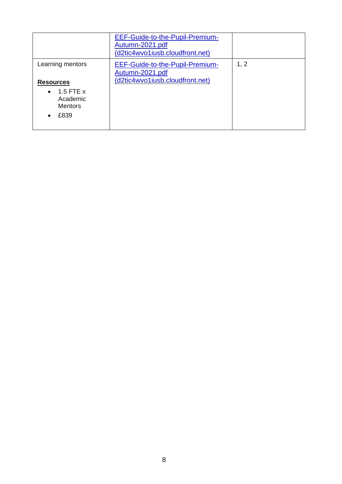|                                                                        | EEF-Guide-to-the-Pupil-Premium-<br>Autumn-2021.pdf<br>(d2tic4wvo1iusb.cloudfront.net) |      |
|------------------------------------------------------------------------|---------------------------------------------------------------------------------------|------|
| Learning mentors                                                       | EEF-Guide-to-the-Pupil-Premium-<br>Autumn-2021.pdf                                    | 1, 2 |
| <b>Resources</b>                                                       | (d2tic4wvo1iusb.cloudfront.net)                                                       |      |
| $\bullet$ 1.5 FTE x<br>Academic<br><b>Mentors</b><br>£839<br>$\bullet$ |                                                                                       |      |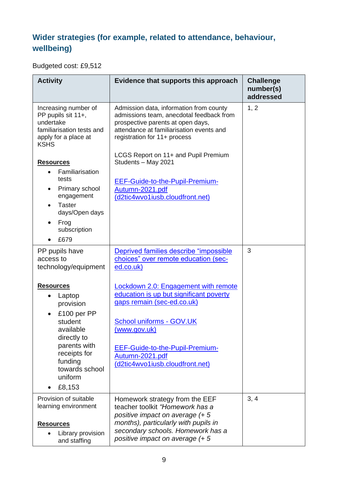### **Wider strategies (for example, related to attendance, behaviour, wellbeing)**

Budgeted cost: £9,512

| <b>Activity</b>                                                                                                                                                                              | Evidence that supports this approach                                                                                                                                                                                                                             | <b>Challenge</b><br>number(s)<br>addressed |
|----------------------------------------------------------------------------------------------------------------------------------------------------------------------------------------------|------------------------------------------------------------------------------------------------------------------------------------------------------------------------------------------------------------------------------------------------------------------|--------------------------------------------|
| Increasing number of<br>PP pupils sit 11+,<br>undertake<br>familiarisation tests and<br>apply for a place at<br><b>KSHS</b>                                                                  | Admission data, information from county<br>admissions team, anecdotal feedback from<br>prospective parents at open days,<br>attendance at familiarisation events and<br>registration for 11+ process                                                             | 1, 2                                       |
| <b>Resources</b><br>Familiarisation<br>tests<br>Primary school<br>engagement<br><b>Taster</b><br>days/Open days<br>Frog<br>subscription<br>£679                                              | LCGS Report on 11+ and Pupil Premium<br>Students - May 2021<br><b>EEF-Guide-to-the-Pupil-Premium-</b><br>Autumn-2021.pdf<br>(d2tic4wvo1iusb.cloudfront.net)                                                                                                      |                                            |
| PP pupils have<br>access to<br>technology/equipment                                                                                                                                          | Deprived families describe "impossible<br>choices" over remote education (sec-<br>ed.co.uk)                                                                                                                                                                      | 3                                          |
| <b>Resources</b><br>Laptop<br>provision<br>£100 per PP<br>$\bullet$<br>student<br>available<br>directly to<br>parents with<br>receipts for<br>funding<br>towards school<br>uniform<br>£8,153 | <b>Lockdown 2.0: Engagement with remote</b><br>education is up but significant poverty<br>gaps remain (sec-ed.co.uk)<br>School uniforms - GOV.UK<br>(www.gov.uk)<br><b>EEF-Guide-to-the-Pupil-Premium-</b><br>Autumn-2021.pdf<br>(d2tic4wvo1iusb.cloudfront.net) |                                            |
| Provision of suitable<br>learning environment<br><b>Resources</b><br>Library provision<br>and staffing                                                                                       | Homework strategy from the EEF<br>teacher toolkit "Homework has a<br>positive impact on average (+ 5<br>months), particularly with pupils in<br>secondary schools. Homework has a<br>positive impact on average (+ 5                                             | 3, 4                                       |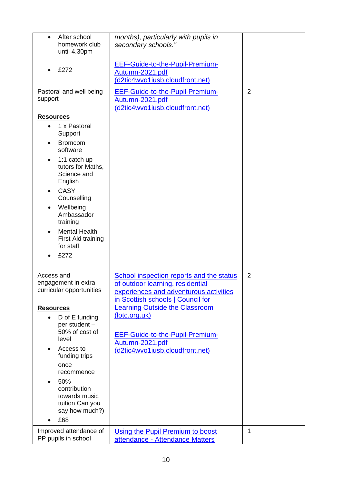| After school<br>homework club<br>until 4.30pm                                                                                                                                                                                                                                                                     | months), particularly with pupils in<br>secondary schools."                                                                                                                                                                                                                                                           |                |
|-------------------------------------------------------------------------------------------------------------------------------------------------------------------------------------------------------------------------------------------------------------------------------------------------------------------|-----------------------------------------------------------------------------------------------------------------------------------------------------------------------------------------------------------------------------------------------------------------------------------------------------------------------|----------------|
| £272                                                                                                                                                                                                                                                                                                              | <b>EEF-Guide-to-the-Pupil-Premium-</b><br>Autumn-2021.pdf<br>(d2tic4wvo1iusb.cloudfront.net)                                                                                                                                                                                                                          |                |
| Pastoral and well being<br>support                                                                                                                                                                                                                                                                                | EEF-Guide-to-the-Pupil-Premium-<br><u>Autumn-2021.pdf</u><br>(d2tic4wvo1iusb.cloudfront.net)                                                                                                                                                                                                                          | $\overline{2}$ |
| <b>Resources</b><br>1 x Pastoral<br>$\bullet$<br>Support<br><b>Bromcom</b><br>software<br>1:1 catch up<br>tutors for Maths,<br>Science and<br>English<br><b>CASY</b><br>Counselling<br>Wellbeing<br>Ambassador<br>training<br><b>Mental Health</b><br>First Aid training<br>for staff<br>£272                     |                                                                                                                                                                                                                                                                                                                       |                |
| Access and<br>engagement in extra<br>curricular opportunities<br><b>Resources</b><br>D of E funding<br>per student -<br>50% of cost of<br>level<br>Access to<br>$\bullet$<br>funding trips<br>once<br>recommence<br>50%<br>$\bullet$<br>contribution<br>towards music<br>tuition Can you<br>say how much?)<br>£68 | School inspection reports and the status<br>of outdoor learning, residential<br>experiences and adventurous activities<br>in Scottish schools   Council for<br><b>Learning Outside the Classroom</b><br>(lotc.org.uk)<br><b>EEF-Guide-to-the-Pupil-Premium-</b><br>Autumn-2021.pdf<br>(d2tic4wvo1iusb.cloudfront.net) | $\overline{2}$ |
| Improved attendance of<br>PP pupils in school                                                                                                                                                                                                                                                                     | Using the Pupil Premium to boost<br>attendance - Attendance Matters                                                                                                                                                                                                                                                   | $\mathbf{1}$   |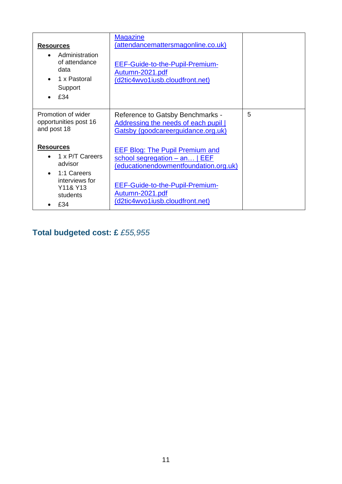| <b>Resources</b><br>Administration<br>of attendance<br>data<br>1 x Pastoral<br>Support<br>£34<br>$\bullet$     | <b>Magazine</b><br>(attendancemattersmagonline.co.uk)<br>EEF-Guide-to-the-Pupil-Premium-<br>Autumn-2021.pdf<br>(d2tic4wvo1iusb.cloudfront.net)                                                                   |   |
|----------------------------------------------------------------------------------------------------------------|------------------------------------------------------------------------------------------------------------------------------------------------------------------------------------------------------------------|---|
| Promotion of wider<br>opportunities post 16<br>and post 18                                                     | Reference to Gatsby Benchmarks -<br>Addressing the needs of each pupil  <br>Gatsby (goodcareerguidance.org.uk)                                                                                                   | 5 |
| <b>Resources</b><br>1 x P/T Careers<br>advisor<br>1:1 Careers<br>interviews for<br>Y11& Y13<br>students<br>£34 | <b>EEF Blog: The Pupil Premium and</b><br>school segregation – an   EEF<br>(educationendowmentfoundation.org.uk)<br>EEF-Guide-to-the-Pupil-Premium-<br><u>Autumn-2021.pdf</u><br>(d2tic4wvo1iusb.cloudfront.net) |   |

# **Total budgeted cost: £** *£55,955*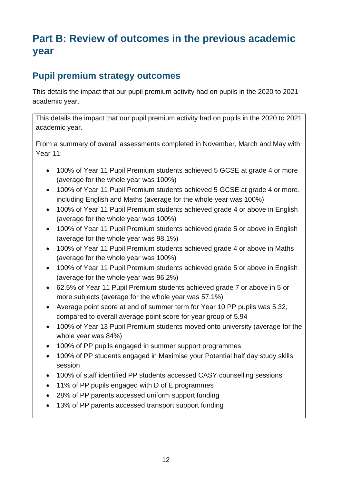# **Part B: Review of outcomes in the previous academic year**

### **Pupil premium strategy outcomes**

This details the impact that our pupil premium activity had on pupils in the 2020 to 2021 academic year.

This details the impact that our pupil premium activity had on pupils in the 2020 to 2021 academic year.

From a summary of overall assessments completed in November, March and May with Year 11:

- 100% of Year 11 Pupil Premium students achieved 5 GCSE at grade 4 or more (average for the whole year was 100%)
- 100% of Year 11 Pupil Premium students achieved 5 GCSE at grade 4 or more, including English and Maths (average for the whole year was 100%)
- 100% of Year 11 Pupil Premium students achieved grade 4 or above in English (average for the whole year was 100%)
- 100% of Year 11 Pupil Premium students achieved grade 5 or above in English (average for the whole year was 98.1%)
- 100% of Year 11 Pupil Premium students achieved grade 4 or above in Maths (average for the whole year was 100%)
- 100% of Year 11 Pupil Premium students achieved grade 5 or above in English (average for the whole year was 96.2%)
- 62.5% of Year 11 Pupil Premium students achieved grade 7 or above in 5 or more subjects (average for the whole year was 57.1%)
- Average point score at end of summer term for Year 10 PP pupils was 5.32, compared to overall average point score for year group of 5.94
- 100% of Year 13 Pupil Premium students moved onto university (average for the whole year was 84%)
- 100% of PP pupils engaged in summer support programmes
- 100% of PP students engaged in Maximise your Potential half day study skills session
- 100% of staff identified PP students accessed CASY counselling sessions
- 11% of PP pupils engaged with D of E programmes
- 28% of PP parents accessed uniform support funding
- 13% of PP parents accessed transport support funding